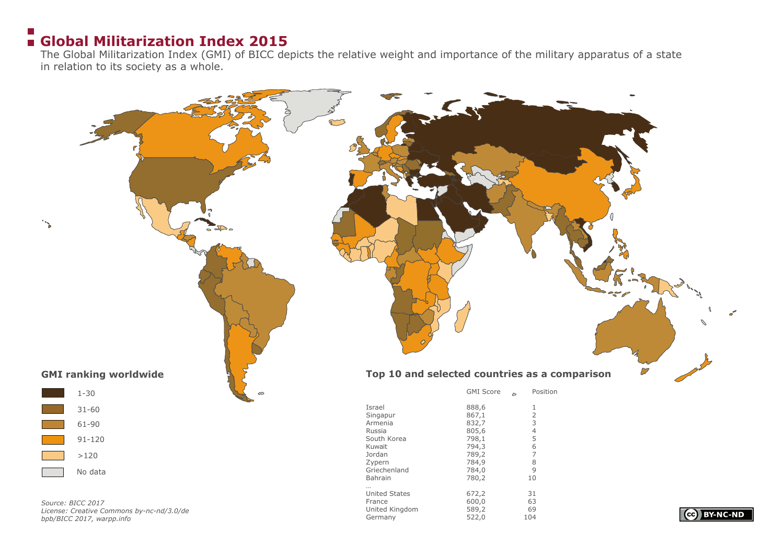#### $\sim$ **Global Militarization Index 2015**

The Global Militarization Index (GMI) of BICC depicts the relative weight and importance of the military apparatus of a state in relation to its society as a whole.

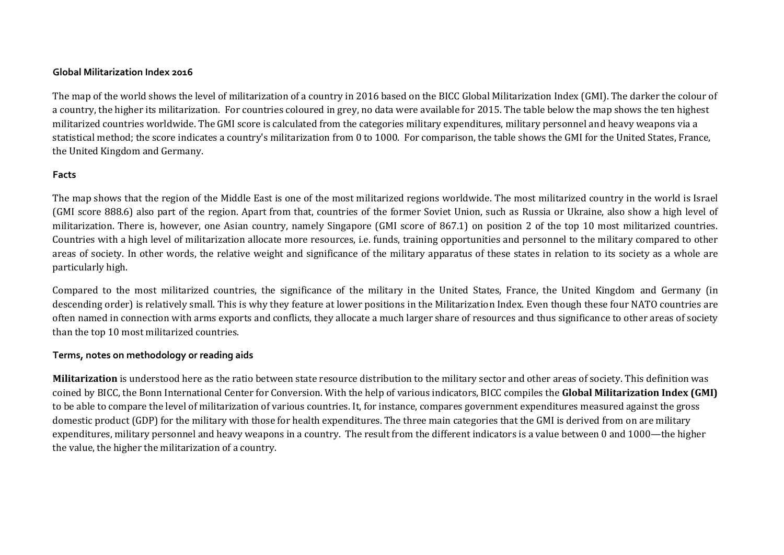## **Global Militarization Index 2016**

The map of the world shows the level of militarization of a country in 2016 based on the BICC Global Militarization Index (GMI). The darker the colour of a country, the higher its militarization. For countries coloured in grey, no data were available for 2015. The table below the map shows the ten highest militarized countries worldwide. The GMI score is calculated from the categories military expenditures, military personnel and heavy weapons via a statistical method; the score indicates a country's militarization from 0 to 1000. For comparison, the table shows the GMI for the United States, France, the United Kingdom and Germany.

## **Facts**

The map shows that the region of the Middle East is one of the most militarized regions worldwide. The most militarized country in the world is Israel (GMI score 888.6) also part of the region. Apart from that, countries of the former Soviet Union, such as Russia or Ukraine, also show a high level of militarization. There is, however, one Asian country, namely Singapore (GMI score of 867.1) on position 2 of the top 10 most militarized countries. Countries with a high level of militarization allocate more resources, i.e. funds, training opportunities and personnel to the military compared to other areas of society. In other words, the relative weight and significance of the military apparatus of these states in relation to its society as a whole are particularly high.

Compared to the most militarized countries, the significance of the military in the United States, France, the United Kingdom and Germany (in descending order) is relatively small. This is why they feature at lower positions in the Militarization Index. Even though these four NATO countries are often named in connection with arms exports and conflicts, they allocate a much larger share of resources and thus significance to other areas of society than the top 10 most militarized countries.

## **Terms, notes on methodology or reading aids**

**Militarization** is understood here as the ratio between state resource distribution to the military sector and other areas of society. This definition was coined by BICC, the Bonn International Center for Conversion. With the help of various indicators, BICC compiles the **Global Militarization Index (GMI)** to be able to compare the level of militarization of various countries. It, for instance, compares government expenditures measured against the gross domestic product (GDP) for the military with those for health expenditures. The three main categories that the GMI is derived from on are military expenditures, military personnel and heavy weapons in a country. The result from the different indicators is a value between 0 and 1000—the higher the value, the higher the militarization of a country.